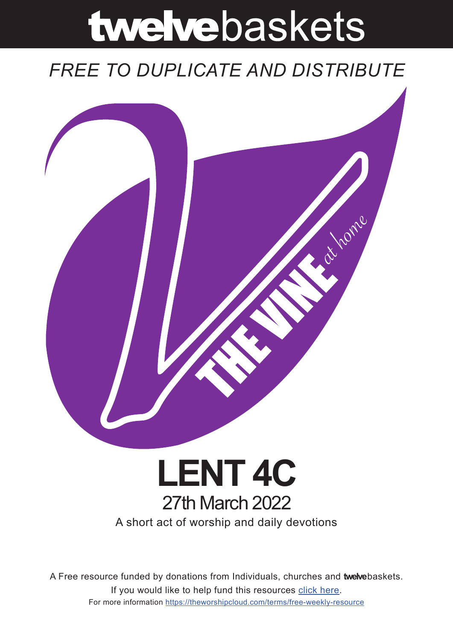# twelvebaskets

# *FREE TO DUPLICATE AND DISTRIBUTE*



# A short act of worship and daily devotions **LENT 4C** 27th March 2022

A Free resource funded by donations from Individuals, churches and **twelve**baskets. If you would like to help fund this resources click here. For more information https://theworshipcloud.com/terms/free-weekly-resource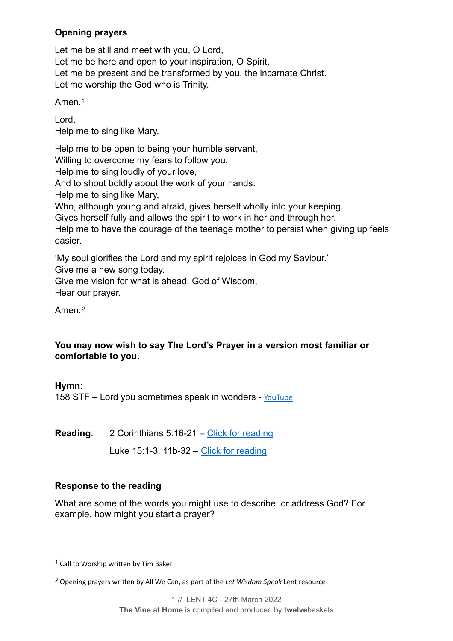# **Opening prayers**

Let me be still and meet with you, O Lord, Let me be here and open to your inspiration, O Spirit, Let me be present and be transformed by you, the incarnate Christ. Let me worship the God who is Trinity.

<span id="page-1-2"></span>Amen.[1](#page-1-0)

Lord,

Help me to sing like Mary.

Help me to be open to being your humble servant,

Willing to overcome my fears to follow you.

Help me to sing loudly of your love,

And to shout boldly about the work of your hands.

Help me to sing like Mary,

Who, although young and afraid, gives herself wholly into your keeping.

Gives herself fully and allows the spirit to work in her and through her.

Help me to have the courage of the teenage mother to persist when giving up feels easier.

'My soul glorifies the Lord and my spirit rejoices in God my Saviour.'

Give me a new song today.

Give me vision for what is ahead, God of Wisdom, Hear our prayer.

<span id="page-1-3"></span>Amen.*[2](#page-1-1)*

# **You may now wish to say The Lord's Prayer in a version most familiar or comfortable to you.**

**Hymn:**

158 STF – Lord you sometimes speak in wonders - [YouTube](https://www.youtube.com/watch?v=M59Khg3ob0s)

**Reading**: 2 Corinthians 5:16-21 – [Click for reading](https://www.biblegateway.com/passage/?search=2+Corinthians+5:16-21&version=NIV)

Luke 15:1-3, 11b-32 – [Click for reading](https://www.biblegateway.com/passage/?search=Luke%252015:1-3,Luke%252015:11-32&version=NIV)

# **Response to the reading**

What are some of the words you might use to describe, or address God? For example, how might you start a prayer?

<span id="page-1-0"></span> $1$  Call to Worship written by Tim Baker

<span id="page-1-1"></span>Opening prayers written by All We Can, as part of the *Let Wisdom Speak* Lent resource *[2](#page-1-3)*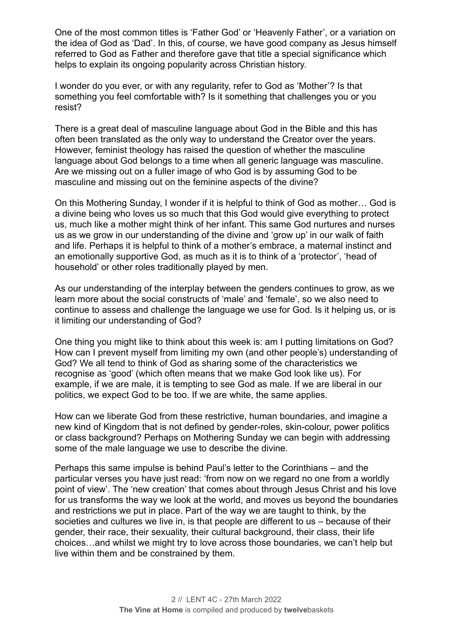One of the most common titles is 'Father God' or 'Heavenly Father', or a variation on the idea of God as 'Dad'. In this, of course, we have good company as Jesus himself referred to God as Father and therefore gave that title a special significance which helps to explain its ongoing popularity across Christian history.

I wonder do you ever, or with any regularity, refer to God as 'Mother'? Is that something you feel comfortable with? Is it something that challenges you or you resist?

There is a great deal of masculine language about God in the Bible and this has often been translated as the only way to understand the Creator over the years. However, feminist theology has raised the question of whether the masculine language about God belongs to a time when all generic language was masculine. Are we missing out on a fuller image of who God is by assuming God to be masculine and missing out on the feminine aspects of the divine?

On this Mothering Sunday, I wonder if it is helpful to think of God as mother… God is a divine being who loves us so much that this God would give everything to protect us, much like a mother might think of her infant. This same God nurtures and nurses us as we grow in our understanding of the divine and 'grow up' in our walk of faith and life. Perhaps it is helpful to think of a mother's embrace, a maternal instinct and an emotionally supportive God, as much as it is to think of a 'protector', 'head of household' or other roles traditionally played by men.

As our understanding of the interplay between the genders continues to grow, as we learn more about the social constructs of 'male' and 'female', so we also need to continue to assess and challenge the language we use for God. Is it helping us, or is it limiting our understanding of God?

One thing you might like to think about this week is: am I putting limitations on God? How can I prevent myself from limiting my own (and other people's) understanding of God? We all tend to think of God as sharing some of the characteristics we recognise as 'good' (which often means that we make God look like us). For example, if we are male, it is tempting to see God as male. If we are liberal in our politics, we expect God to be too. If we are white, the same applies.

How can we liberate God from these restrictive, human boundaries, and imagine a new kind of Kingdom that is not defined by gender-roles, skin-colour, power politics or class background? Perhaps on Mothering Sunday we can begin with addressing some of the male language we use to describe the divine.

Perhaps this same impulse is behind Paul's letter to the Corinthians – and the particular verses you have just read: 'from now on we regard no one from a worldly point of view'. The 'new creation' that comes about through Jesus Christ and his love for us transforms the way we look at the world, and moves us beyond the boundaries and restrictions we put in place. Part of the way we are taught to think, by the societies and cultures we live in, is that people are different to us – because of their gender, their race, their sexuality, their cultural background, their class, their life choices…and whilst we might try to love across those boundaries, we can't help but live within them and be constrained by them.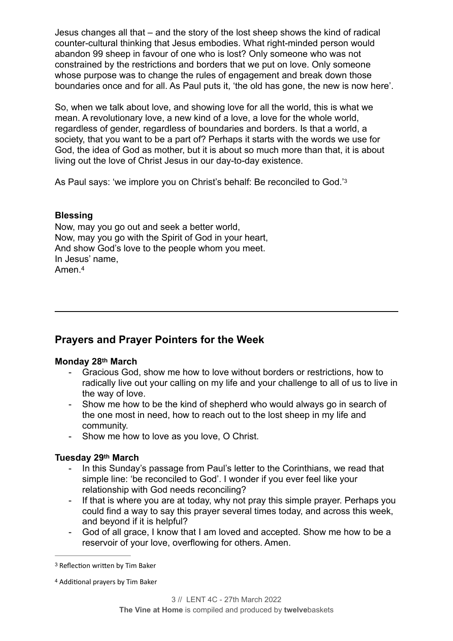Jesus changes all that – and the story of the lost sheep shows the kind of radical counter-cultural thinking that Jesus embodies. What right-minded person would abandon 99 sheep in favour of one who is lost? Only someone who was not constrained by the restrictions and borders that we put on love. Only someone whose purpose was to change the rules of engagement and break down those boundaries once and for all. As Paul puts it, 'the old has gone, the new is now here'.

So, when we talk about love, and showing love for all the world, this is what we mean. A revolutionary love, a new kind of a love, a love for the whole world, regardless of gender, regardless of boundaries and borders. Is that a world, a society, that you want to be a part of? Perhaps it starts with the words we use for God, the idea of God as mother, but it is about so much more than that, it is about living out the love of Christ Jesus in our day-to-day existence.

<span id="page-3-2"></span>As Paul says: 'we implore you on Christ's behalf: Be reconciled to God.'[3](#page-3-0)

# **Blessing**

<span id="page-3-3"></span>Now, may you go out and seek a better world, Now, may you go with the Spirit of God in your heart, And show God's love to the people whom you meet. In Jesus' name, Amen<sup>[4](#page-3-1)</sup>

# **Prayers and Prayer Pointers for the Week**

## **Monday 28th March**

- Gracious God, show me how to love without borders or restrictions, how to radically live out your calling on my life and your challenge to all of us to live in the way of love.
- Show me how to be the kind of shepherd who would always go in search of the one most in need, how to reach out to the lost sheep in my life and community.
- Show me how to love as you love, O Christ.

## **Tuesday 29th March**

- In this Sunday's passage from Paul's letter to the Corinthians, we read that simple line: 'be reconciled to God'. I wonder if you ever feel like your relationship with God needs reconciling?
- If that is where you are at today, why not pray this simple prayer. Perhaps you could find a way to say this prayer several times today, and across this week, and beyond if it is helpful?
- God of all grace, I know that I am loved and accepted. Show me how to be a reservoir of your love, overflowing for others. Amen.

<span id="page-3-0"></span><sup>&</sup>lt;sup>[3](#page-3-2)</sup> Reflection written by Tim Baker

<span id="page-3-1"></span><sup>&</sup>lt;sup>[4](#page-3-3)</sup> Additional prayers by Tim Baker